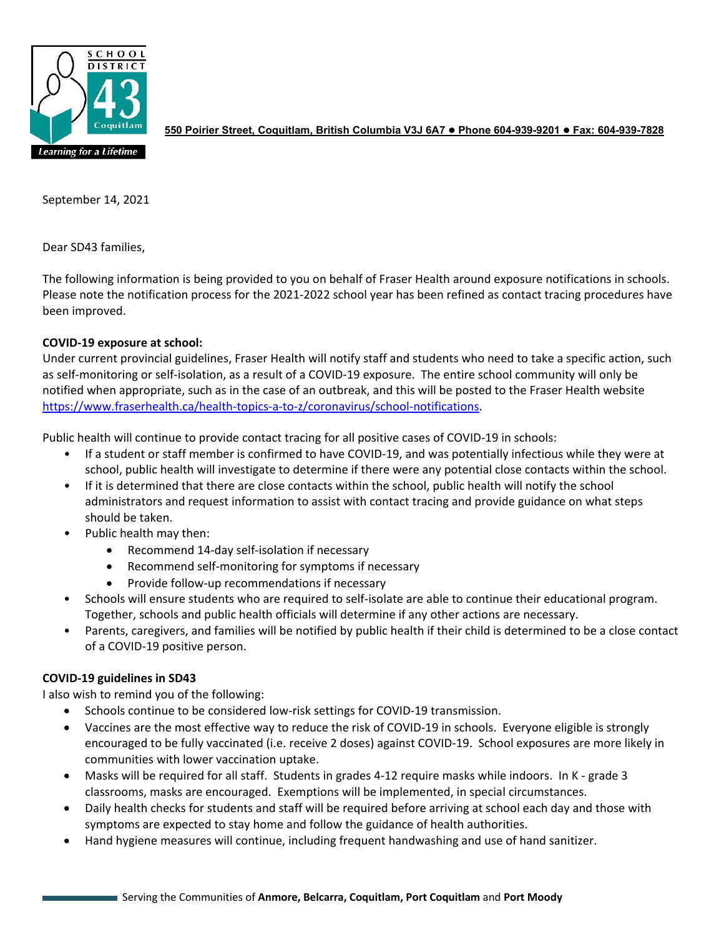

**550 Poirier Street, Coquitlam, British Columbia V3J 6A7 Phone 604-939-9201 Fax: 604-939-7828**

September 14, 2021

Dear SD43 families,

The following information is being provided to you on behalf of Fraser Health around exposure notifications in schools. Please note the notification process for the 2021-2022 school year has been refined as contact tracing procedures have been improved.

## **COVID-19 exposure at school:**

Under current provincial guidelines, Fraser Health will notify staff and students who need to take a specific action, such as self-monitoring or self-isolation, as a result of a COVID-19 exposure. The entire school community will only be notified when appropriate, such as in the case of an outbreak, and this will be posted to the Fraser Health website [https://www.fraserhealth.ca/health-topics-a-to-z/coronavirus/school-notifications.](https://www.fraserhealth.ca/health-topics-a-to-z/coronavirus/school-notifications)

Public health will continue to provide contact tracing for all positive cases of COVID-19 in schools:

- If a student or staff member is confirmed to have COVID-19, and was potentially infectious while they were at school, public health will investigate to determine if there were any potential close contacts within the school.
- If it is determined that there are close contacts within the school, public health will notify the school administrators and request information to assist with contact tracing and provide guidance on what steps should be taken.
- Public health may then:
	- Recommend 14-day self-isolation if necessary
	- Recommend self-monitoring for symptoms if necessary
	- Provide follow-up recommendations if necessary
- Schools will ensure students who are required to self-isolate are able to continue their educational program. Together, schools and public health officials will determine if any other actions are necessary.
- Parents, caregivers, and families will be notified by public health if their child is determined to be a close contact of a COVID-19 positive person.

## **COVID-19 guidelines in SD43**

I also wish to remind you of the following:

- Schools continue to be considered low-risk settings for COVID-19 transmission.
- Vaccines are the most effective way to reduce the risk of COVID-19 in schools. Everyone eligible is strongly encouraged to be fully vaccinated (i.e. receive 2 doses) against COVID-19. School exposures are more likely in communities with lower vaccination uptake.
- Masks will be required for all staff. Students in grades 4-12 require masks while indoors. In K grade 3 classrooms, masks are encouraged. Exemptions will be implemented, in special circumstances.
- Daily health checks for students and staff will be required before arriving at school each day and those with symptoms are expected to stay home and follow the guidance of health authorities.
- Hand hygiene measures will continue, including frequent handwashing and use of hand sanitizer.